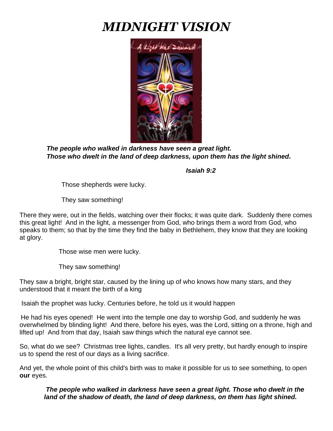# *MIDNIGHT VISION*



*The people who walked in darkness have seen a great light. Those who dwelt in the land of deep darkness, upon them has the light shined.* 

 *Isaiah 9:2*

Those shepherds were lucky.

They saw something!

There they were, out in the fields, watching over their flocks; it was quite dark. Suddenly there comes this great light! And in the light, a messenger from God, who brings them a word from God, who speaks to them; so that by the time they find the baby in Bethlehem, they know that they are looking at glory.

Those wise men were lucky.

They saw something!

They saw a bright, bright star, caused by the lining up of who knows how many stars, and they understood that it meant the birth of a king

Isaiah the prophet was lucky. Centuries before, he told us it would happen

He had his eyes opened! He went into the temple one day to worship God, and suddenly he was overwhelmed by blinding light! And there, before his eyes, was the Lord, sitting on a throne, high and lifted up! And from that day, Isaiah saw things which the natural eye cannot see.

So, what do we see? Christmas tree lights, candles. It's all very pretty, but hardly enough to inspire us to spend the rest of our days as a living sacrifice.

And yet, the whole point of this child's birth was to make it possible for us to see something, to open **our** eyes.

*The people who walked in darkness have seen a great light. Those who dwelt in the land of the shadow of death, the land of deep darkness, on them has light shined.*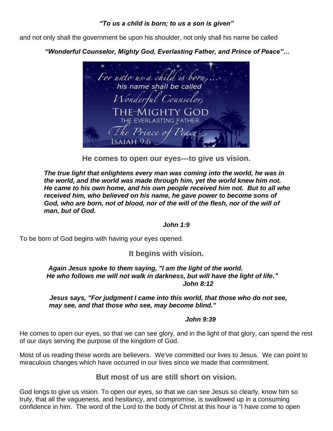## *"To us a child is born; to us a son is given"*

and not only shall the government be upon his shoulder, not only shall his name be called

# *"Wonderful Counselor, Mighty God, Everlasting Father, and Prince of Peace"…*



**He comes to open our eyes---to give us vision.**

*The true light that enlightens every man was coming into the world, he was in the world, and the world was made through him, yet the world knew him not. He came to his own home, and his own people received him not. But to all who received him, who believed on his name, he gave power to become sons of God, who are born, not of blood, nor of the will of the flesh, nor of the will of man, but of God.*

#### *John 1:9*

To be born of God begins with having your eyes opened.

# **It begins with vision.**

#### *Again Jesus spoke to them saying, "I am the light of the world. He who follows me will not walk in darkness, but will have the light of life." John 8:12*

#### *Jesus says, "For judgment I came into this world, that those who do not see, may see, and that those who see, may become blind."*

#### *John 9:39*

He comes to open our eyes, so that we can see glory, and in the light of that glory, can spend the rest of our days serving the purpose of the kingdom of God.

Most of us reading these words are believers. We've committed our lives to Jesus. We can point to miraculous changes which have occurred in our lives since we made that commitment.

# **But most of us are still short on vision.**

God longs to give us vision. To open our eyes, so that we can see Jesus so clearly, know him so truly, that all the vagueness, and hesitancy, and compromise, is swallowed up in a consuming confidence in him. The word of the Lord to the body of Christ at this hour is "I have come to open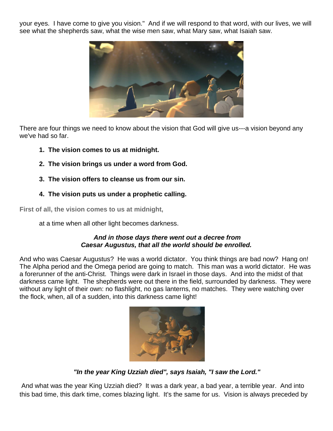your eyes. I have come to give you vision." And if we will respond to that word, with our lives, we will see what the shepherds saw, what the wise men saw, what Mary saw, what Isaiah saw.



There are four things we need to know about the vision that God will give us---a vision beyond any we've had so far.

- **1. The vision comes to us at midnight.**
- **2. The vision brings us under a word from God.**
- **3. The vision offers to cleanse us from our sin.**
- **4. The vision puts us under a prophetic calling.**

**First of all, the vision comes to us at midnight,**

at a time when all other light becomes darkness.

#### *And in those days there went out a decree from Caesar Augustus, that all the world should be enrolled.*

And who was Caesar Augustus? He was a world dictator. You think things are bad now? Hang on! The Alpha period and the Omega period are going to match. This man was a world dictator. He was a forerunner of the anti-Christ. Things were dark in Israel in those days. And into the midst of that darkness came light. The shepherds were out there in the field, surrounded by darkness. They were without any light of their own: no flashlight, no gas lanterns, no matches. They were watching over the flock, when, all of a sudden, into this darkness came light!



*"In the year King Uzziah died", says Isaiah, "I saw the Lord."*

And what was the year King Uzziah died? It was a dark year, a bad year, a terrible year. And into this bad time, this dark time, comes blazing light. It's the same for us. Vision is always preceded by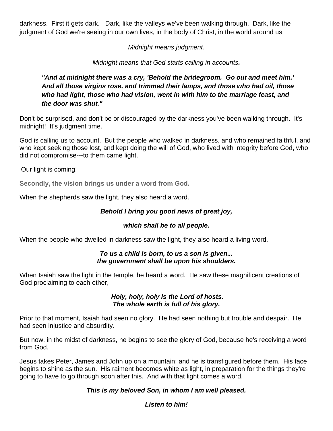darkness. First it gets dark. Dark, like the valleys we've been walking through. Dark, like the judgment of God we're seeing in our own lives, in the body of Christ, in the world around us.

*Midnight means judgment*.

*Midnight means that God starts calling in accounts.* 

*"And at midnight there was a cry, 'Behold the bridegroom. Go out and meet him.' And all those virgins rose, and trimmed their lamps, and those who had oil, those who had light, those who had vision, went in with him to the marriage feast, and the door was shut."*

Don't be surprised, and don't be or discouraged by the darkness you've been walking through. It's midnight! It's judgment time.

God is calling us to account. But the people who walked in darkness, and who remained faithful, and who kept seeking those lost, and kept doing the will of God, who lived with integrity before God, who did not compromise---to them came light.

Our light is coming!

**Secondly, the vision brings us under a word from God.**

When the shepherds saw the light, they also heard a word.

# *Behold I bring you good news of great joy,*

# *which shall be to all people.*

When the people who dwelled in darkness saw the light, they also heard a living word.

#### *To us a child is born, to us a son is given... the government shall be upon his shoulders.*

When Isaiah saw the light in the temple, he heard a word. He saw these magnificent creations of God proclaiming to each other,

#### *Holy, holy, holy is the Lord of hosts. The whole earth is full of his glory.*

Prior to that moment, Isaiah had seen no glory. He had seen nothing but trouble and despair. He had seen injustice and absurdity.

But now, in the midst of darkness, he begins to see the glory of God, because he's receiving a word from God.

Jesus takes Peter, James and John up on a mountain; and he is transfigured before them. His face begins to shine as the sun. His raiment becomes white as light, in preparation for the things they're going to have to go through soon after this. And with that light comes a word.

# *This is my beloved Son, in whom I am well pleased.*

# *Listen to him!*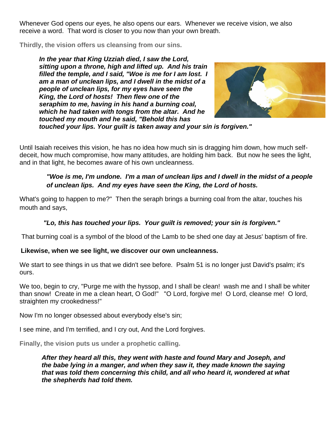Whenever God opens our eyes, he also opens our ears. Whenever we receive vision, we also receive a word. That word is closer to you now than your own breath.

**Thirdly, the vision offers us cleansing from our sins.** 

*In the year that King Uzziah died, I saw the Lord, sitting upon a throne, high and lifted up. And his train filled the temple, and I said, "Woe is me for I am lost. I am a man of unclean lips, and I dwell in the midst of a people of unclean lips, for my eyes have seen the King, the Lord of hosts! Then flew one of the seraphim to me, having in his hand a burning coal, which he had taken with tongs from the altar. And he touched my mouth and he said, "Behold this has* 



*touched your lips. Your guilt is taken away and your sin is forgiven."*

Until Isaiah receives this vision, he has no idea how much sin is dragging him down, how much selfdeceit, how much compromise, how many attitudes, are holding him back. But now he sees the light, and in that light, he becomes aware of his own uncleanness.

## *"Woe is me, I'm undone. I'm a man of unclean lips and I dwell in the midst of a people of unclean lips. And my eyes have seen the King, the Lord of hosts.*

What's going to happen to me?" Then the seraph brings a burning coal from the altar, touches his mouth and says,

#### *"Lo, this has touched your lips. Your guilt is removed; your sin is forgiven."*

That burning coal is a symbol of the blood of the Lamb to be shed one day at Jesus' baptism of fire.

#### **Likewise, when we see light, we discover our own uncleanness.**

We start to see things in us that we didn't see before. Psalm 51 is no longer just David's psalm; it's ours.

We too, begin to cry, "Purge me with the hyssop, and I shall be clean! wash me and I shall be whiter than snow! Create in me a clean heart, O God!" "O Lord, forgive me! O Lord, cleanse me! O lord, straighten my crookedness!"

Now I'm no longer obsessed about everybody else's sin;

I see mine, and I'm terrified, and I cry out, And the Lord forgives.

**Finally, the vision puts us under a prophetic calling.** 

*After they heard all this, they went with haste and found Mary and Joseph, and the babe lying in a manger, and when they saw it, they made known the saying that was told them concerning this child, and all who heard it, wondered at what the shepherds had told them.*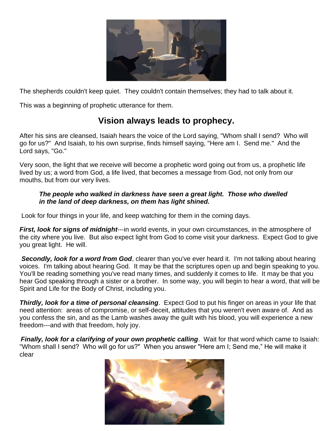

The shepherds couldn't keep quiet. They couldn't contain themselves; they had to talk about it.

This was a beginning of prophetic utterance for them.

# **Vision always leads to prophecy.**

After his sins are cleansed, Isaiah hears the voice of the Lord saying, "Whom shall I send? Who will go for us?" And Isaiah, to his own surprise, finds himself saying, "Here am I. Send me." And the Lord says, "Go."

Very soon, the light that we receive will become a prophetic word going out from us, a prophetic life lived by us; a word from God, a life lived, that becomes a message from God, not only from our mouths, but from our very lives.

#### *The people who walked in darkness have seen a great light. Those who dwelled in the land of deep darkness, on them has light shined.*

Look for four things in your life, and keep watching for them in the coming days.

*First, look for signs of midnight*---in world events, in your own circumstances, in the atmosphere of the city where you live. But also expect light from God to come visit your darkness. Expect God to give you great light. He will.

**Secondly, look for a word from God**, clearer than you've ever heard it. I'm not talking about hearing voices. I'm talking about hearing God. It may be that the scriptures open up and begin speaking to you. You'll be reading something you've read many times, and suddenly it comes to life. It may be that you hear God speaking through a sister or a brother. In some way, you will begin to hear a word, that will be Spirit and Life for the Body of Christ, including you.

**Thirdly, look for a time of personal cleansing**. Expect God to put his finger on areas in your life that need attention: areas of compromise, or self-deceit, attitudes that you weren't even aware of. And as you confess the sin, and as the Lamb washes away the guilt with his blood, you will experience a new freedom---and with that freedom, holy joy.

*Finally, look for a clarifying of your own prophetic calling*. Wait for that word which came to Isaiah: "Whom shall I send? Who will go for us?" When you answer "Here am I; Send me," He will make it clear